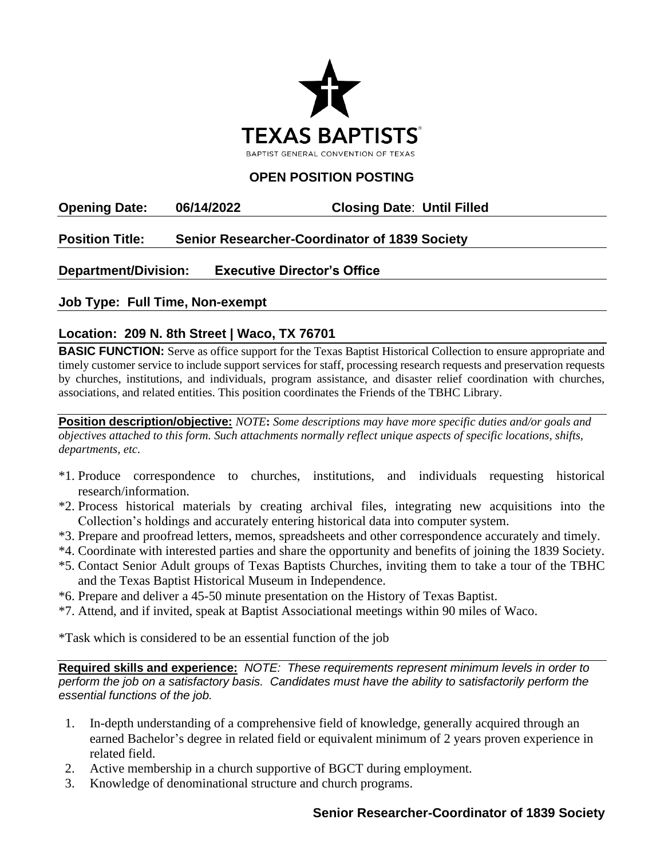

## **OPEN POSITION POSTING**

**Opening Date: 06/14/2022 Closing Date**: **Until Filled**

## **Position Title: Senior Researcher-Coordinator of 1839 Society**

**Department/Division: Executive Director's Office**

**Job Type: Full Time, Non-exempt**

## **Location: 209 N. 8th Street | Waco, TX 76701**

**BASIC FUNCTION:** Serve as office support for the Texas Baptist Historical Collection to ensure appropriate and timely customer service to include support services for staff, processing research requests and preservation requests by churches, institutions, and individuals, program assistance, and disaster relief coordination with churches, associations, and related entities. This position coordinates the Friends of the TBHC Library.

**Position description/objective:** *NOTE***:** *Some descriptions may have more specific duties and/or goals and objectives attached to this form. Such attachments normally reflect unique aspects of specific locations, shifts, departments, etc.* 

- \*1. Produce correspondence to churches, institutions, and individuals requesting historical research/information.
- \*2. Process historical materials by creating archival files, integrating new acquisitions into the Collection's holdings and accurately entering historical data into computer system.
- \*3. Prepare and proofread letters, memos, spreadsheets and other correspondence accurately and timely.
- \*4. Coordinate with interested parties and share the opportunity and benefits of joining the 1839 Society.
- \*5. Contact Senior Adult groups of Texas Baptists Churches, inviting them to take a tour of the TBHC and the Texas Baptist Historical Museum in Independence.
- \*6. Prepare and deliver a 45-50 minute presentation on the History of Texas Baptist.
- \*7. Attend, and if invited, speak at Baptist Associational meetings within 90 miles of Waco.

\*Task which is considered to be an essential function of the job

**Required skills and experience:** *NOTE: These requirements represent minimum levels in order to perform the job on a satisfactory basis. Candidates must have the ability to satisfactorily perform the essential functions of the job.*

- 1. In-depth understanding of a comprehensive field of knowledge, generally acquired through an earned Bachelor's degree in related field or equivalent minimum of 2 years proven experience in related field.
- 2. Active membership in a church supportive of BGCT during employment.
- 3. Knowledge of denominational structure and church programs.

## **Senior Researcher-Coordinator of 1839 Society**